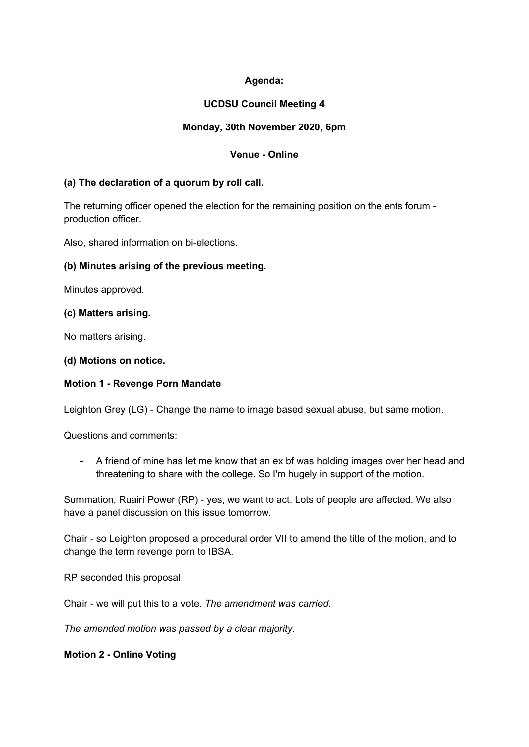# **Agenda:**

# **UCDSU Council Meeting 4**

## **Monday, 30th November 2020, 6pm**

## **Venue - Online**

### **(a) The declaration of a quorum by roll call.**

The returning officer opened the election for the remaining position on the ents forum production officer.

Also, shared information on bi-elections.

### **(b) Minutes arising of the previous meeting.**

Minutes approved.

### **(c) Matters arising.**

No matters arising.

### **(d) Motions on notice.**

## **Motion 1 - Revenge Porn Mandate**

Leighton Grey (LG) - Change the name to image based sexual abuse, but same motion.

Questions and comments:

- A friend of mine has let me know that an ex bf was holding images over her head and threatening to share with the college. So I'm hugely in support of the motion.

Summation, Ruairí Power (RP) - yes, we want to act. Lots of people are affected. We also have a panel discussion on this issue tomorrow.

Chair - so Leighton proposed a procedural order VII to amend the title of the motion, and to change the term revenge porn to IBSA.

RP seconded this proposal

Chair - we will put this to a vote. *The amendment was carried.* 

*The amended motion was passed by a clear majority.*

**Motion 2 - Online Voting**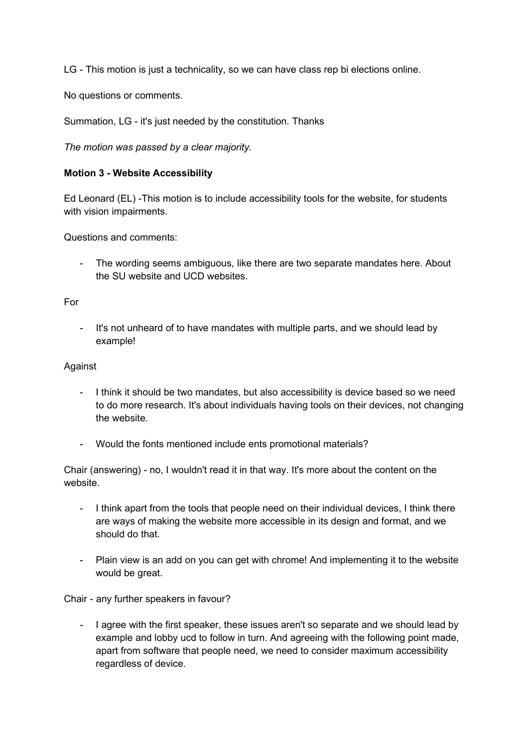LG - This motion is just a technicality, so we can have class rep bi elections online.

No questions or comments.

Summation, LG - it's just needed by the constitution. Thanks

*The motion was passed by a clear majority.* 

### **Motion 3 - Website Accessibility**

Ed Leonard (EL) -This motion is to include accessibility tools for the website, for students with vision impairments.

Questions and comments:

- The wording seems ambiguous, like there are two separate mandates here. About the SU website and UCD websites.

#### For

It's not unheard of to have mandates with multiple parts, and we should lead by example!

#### Against

- I think it should be two mandates, but also accessibility is device based so we need to do more research. It's about individuals having tools on their devices, not changing the website.
- Would the fonts mentioned include ents promotional materials?

Chair (answering) - no, I wouldn't read it in that way. It's more about the content on the website.

- I think apart from the tools that people need on their individual devices, I think there are ways of making the website more accessible in its design and format, and we should do that.
- Plain view is an add on you can get with chrome! And implementing it to the website would be great.

Chair - any further speakers in favour?

- I agree with the first speaker, these issues aren't so separate and we should lead by example and lobby ucd to follow in turn. And agreeing with the following point made, apart from software that people need, we need to consider maximum accessibility regardless of device.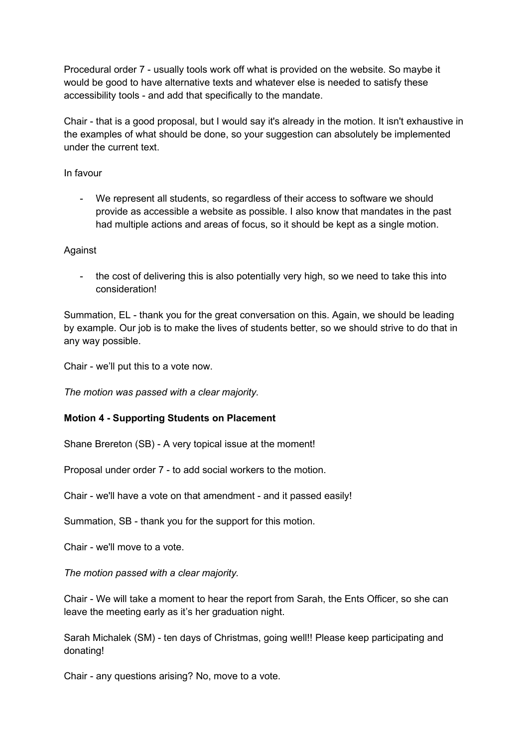Procedural order 7 - usually tools work off what is provided on the website. So maybe it would be good to have alternative texts and whatever else is needed to satisfy these accessibility tools - and add that specifically to the mandate.

Chair - that is a good proposal, but I would say it's already in the motion. It isn't exhaustive in the examples of what should be done, so your suggestion can absolutely be implemented under the current text.

In favour

We represent all students, so regardless of their access to software we should provide as accessible a website as possible. I also know that mandates in the past had multiple actions and areas of focus, so it should be kept as a single motion.

### Against

- the cost of delivering this is also potentially very high, so we need to take this into consideration!

Summation, EL - thank you for the great conversation on this. Again, we should be leading by example. Our job is to make the lives of students better, so we should strive to do that in any way possible.

Chair - we'll put this to a vote now.

*The motion was passed with a clear majority.* 

## **Motion 4 - Supporting Students on Placement**

Shane Brereton (SB) - A very topical issue at the moment!

Proposal under order 7 - to add social workers to the motion.

Chair - we'll have a vote on that amendment - and it passed easily!

Summation, SB - thank you for the support for this motion.

Chair - we'll move to a vote.

*The motion passed with a clear majority.*

Chair - We will take a moment to hear the report from Sarah, the Ents Officer, so she can leave the meeting early as it's her graduation night.

Sarah Michalek (SM) - ten days of Christmas, going well!! Please keep participating and donating!

Chair - any questions arising? No, move to a vote.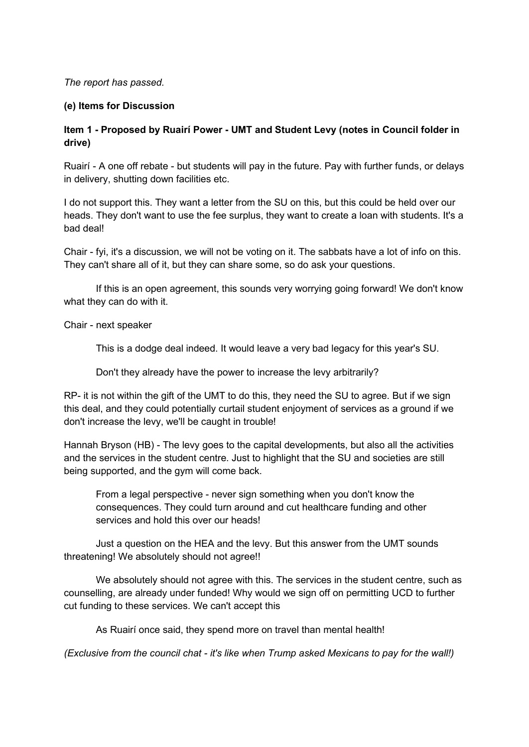### *The report has passed.*

### **(e) Items for Discussion**

### **Item 1 - Proposed by Ruairí Power - UMT and Student Levy (notes in Council folder in drive)**

Ruairí - A one off rebate - but students will pay in the future. Pay with further funds, or delays in delivery, shutting down facilities etc.

I do not support this. They want a letter from the SU on this, but this could be held over our heads. They don't want to use the fee surplus, they want to create a loan with students. It's a bad deal!

Chair - fyi, it's a discussion, we will not be voting on it. The sabbats have a lot of info on this. They can't share all of it, but they can share some, so do ask your questions.

If this is an open agreement, this sounds very worrying going forward! We don't know what they can do with it.

Chair - next speaker

This is a dodge deal indeed. It would leave a very bad legacy for this year's SU.

Don't they already have the power to increase the levy arbitrarily?

RP- it is not within the gift of the UMT to do this, they need the SU to agree. But if we sign this deal, and they could potentially curtail student enjoyment of services as a ground if we don't increase the levy, we'll be caught in trouble!

Hannah Bryson (HB) - The levy goes to the capital developments, but also all the activities and the services in the student centre. Just to highlight that the SU and societies are still being supported, and the gym will come back.

From a legal perspective - never sign something when you don't know the consequences. They could turn around and cut healthcare funding and other services and hold this over our heads!

Just a question on the HEA and the levy. But this answer from the UMT sounds threatening! We absolutely should not agree!!

We absolutely should not agree with this. The services in the student centre, such as counselling, are already under funded! Why would we sign off on permitting UCD to further cut funding to these services. We can't accept this

As Ruairí once said, they spend more on travel than mental health!

*(Exclusive from the council chat - it's like when Trump asked Mexicans to pay for the wall!)*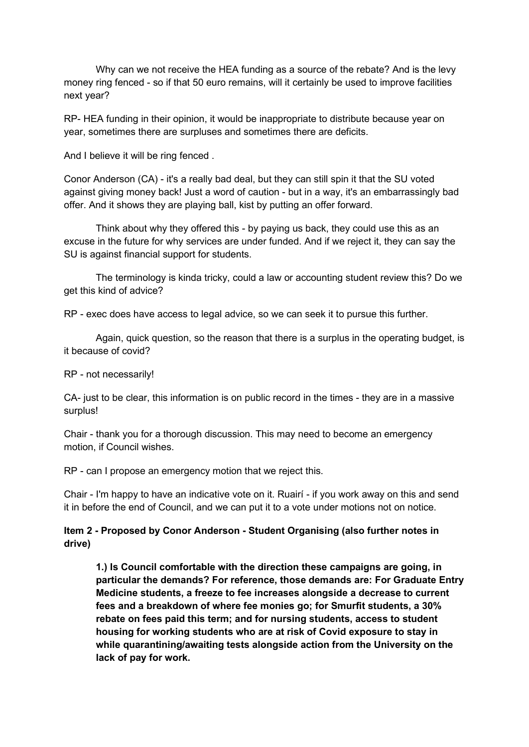Why can we not receive the HEA funding as a source of the rebate? And is the levy money ring fenced - so if that 50 euro remains, will it certainly be used to improve facilities next year?

RP- HEA funding in their opinion, it would be inappropriate to distribute because year on year, sometimes there are surpluses and sometimes there are deficits.

And I believe it will be ring fenced .

Conor Anderson (CA) - it's a really bad deal, but they can still spin it that the SU voted against giving money back! Just a word of caution - but in a way, it's an embarrassingly bad offer. And it shows they are playing ball, kist by putting an offer forward.

Think about why they offered this - by paying us back, they could use this as an excuse in the future for why services are under funded. And if we reject it, they can say the SU is against financial support for students.

The terminology is kinda tricky, could a law or accounting student review this? Do we get this kind of advice?

RP - exec does have access to legal advice, so we can seek it to pursue this further.

Again, quick question, so the reason that there is a surplus in the operating budget, is it because of covid?

RP - not necessarily!

CA- just to be clear, this information is on public record in the times - they are in a massive surplus!

Chair - thank you for a thorough discussion. This may need to become an emergency motion, if Council wishes.

RP - can I propose an emergency motion that we reject this.

Chair - I'm happy to have an indicative vote on it. Ruairí - if you work away on this and send it in before the end of Council, and we can put it to a vote under motions not on notice.

### **Item 2 - Proposed by Conor Anderson - Student Organising (also further notes in drive)**

**1.) Is Council comfortable with the direction these campaigns are going, in particular the demands? For reference, those demands are: For Graduate Entry Medicine students, a freeze to fee increases alongside a decrease to current fees and a breakdown of where fee monies go; for Smurfit students, a 30% rebate on fees paid this term; and for nursing students, access to student housing for working students who are at risk of Covid exposure to stay in while quarantining/awaiting tests alongside action from the University on the lack of pay for work.**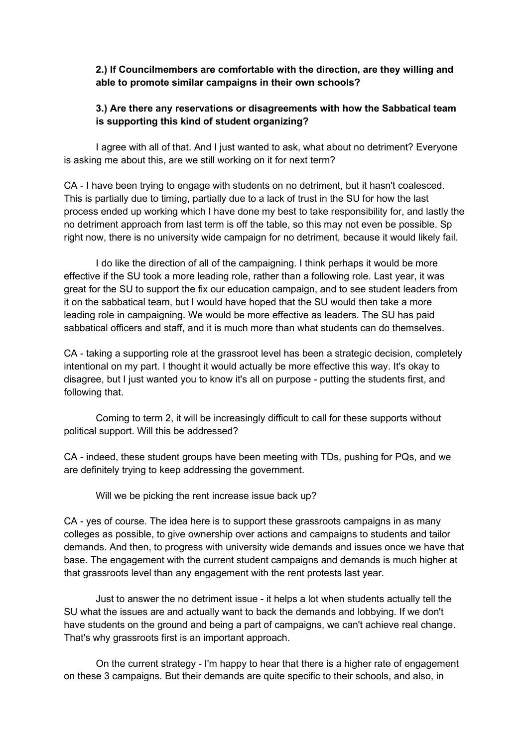### **2.) If Councilmembers are comfortable with the direction, are they willing and able to promote similar campaigns in their own schools?**

# **3.) Are there any reservations or disagreements with how the Sabbatical team is supporting this kind of student organizing?**

I agree with all of that. And I just wanted to ask, what about no detriment? Everyone is asking me about this, are we still working on it for next term?

CA - I have been trying to engage with students on no detriment, but it hasn't coalesced. This is partially due to timing, partially due to a lack of trust in the SU for how the last process ended up working which I have done my best to take responsibility for, and lastly the no detriment approach from last term is off the table, so this may not even be possible. Sp right now, there is no university wide campaign for no detriment, because it would likely fail.

I do like the direction of all of the campaigning. I think perhaps it would be more effective if the SU took a more leading role, rather than a following role. Last year, it was great for the SU to support the fix our education campaign, and to see student leaders from it on the sabbatical team, but I would have hoped that the SU would then take a more leading role in campaigning. We would be more effective as leaders. The SU has paid sabbatical officers and staff, and it is much more than what students can do themselves.

CA - taking a supporting role at the grassroot level has been a strategic decision, completely intentional on my part. I thought it would actually be more effective this way. It's okay to disagree, but I just wanted you to know it's all on purpose - putting the students first, and following that.

Coming to term 2, it will be increasingly difficult to call for these supports without political support. Will this be addressed?

CA - indeed, these student groups have been meeting with TDs, pushing for PQs, and we are definitely trying to keep addressing the government.

Will we be picking the rent increase issue back up?

CA - yes of course. The idea here is to support these grassroots campaigns in as many colleges as possible, to give ownership over actions and campaigns to students and tailor demands. And then, to progress with university wide demands and issues once we have that base. The engagement with the current student campaigns and demands is much higher at that grassroots level than any engagement with the rent protests last year.

Just to answer the no detriment issue - it helps a lot when students actually tell the SU what the issues are and actually want to back the demands and lobbying. If we don't have students on the ground and being a part of campaigns, we can't achieve real change. That's why grassroots first is an important approach.

On the current strategy - I'm happy to hear that there is a higher rate of engagement on these 3 campaigns. But their demands are quite specific to their schools, and also, in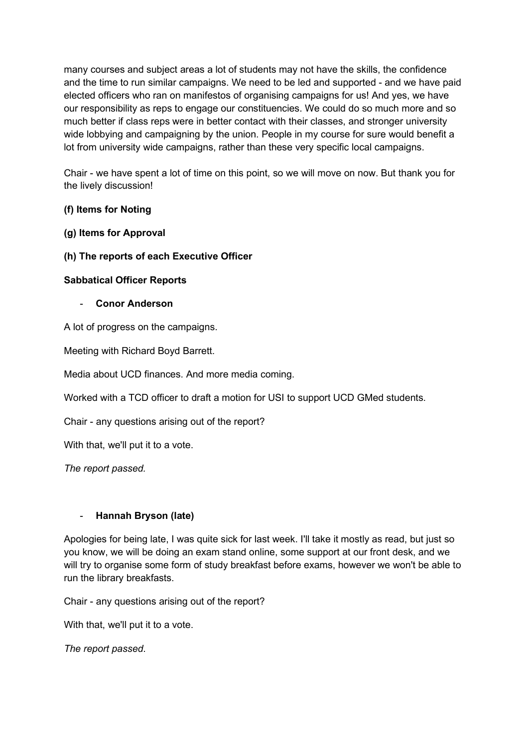many courses and subject areas a lot of students may not have the skills, the confidence and the time to run similar campaigns. We need to be led and supported - and we have paid elected officers who ran on manifestos of organising campaigns for us! And yes, we have our responsibility as reps to engage our constituencies. We could do so much more and so much better if class reps were in better contact with their classes, and stronger university wide lobbying and campaigning by the union. People in my course for sure would benefit a lot from university wide campaigns, rather than these very specific local campaigns.

Chair - we have spent a lot of time on this point, so we will move on now. But thank you for the lively discussion!

# **(f) Items for Noting**

## **(g) Items for Approval**

**(h) The reports of each Executive Officer**

### **Sabbatical Officer Reports**

- **Conor Anderson**

A lot of progress on the campaigns.

Meeting with Richard Boyd Barrett.

Media about UCD finances. And more media coming.

Worked with a TCD officer to draft a motion for USI to support UCD GMed students.

Chair - any questions arising out of the report?

With that, we'll put it to a vote.

*The report passed.*

## - **Hannah Bryson (late)**

Apologies for being late, I was quite sick for last week. I'll take it mostly as read, but just so you know, we will be doing an exam stand online, some support at our front desk, and we will try to organise some form of study breakfast before exams, however we won't be able to run the library breakfasts.

Chair - any questions arising out of the report?

With that, we'll put it to a vote.

*The report passed*.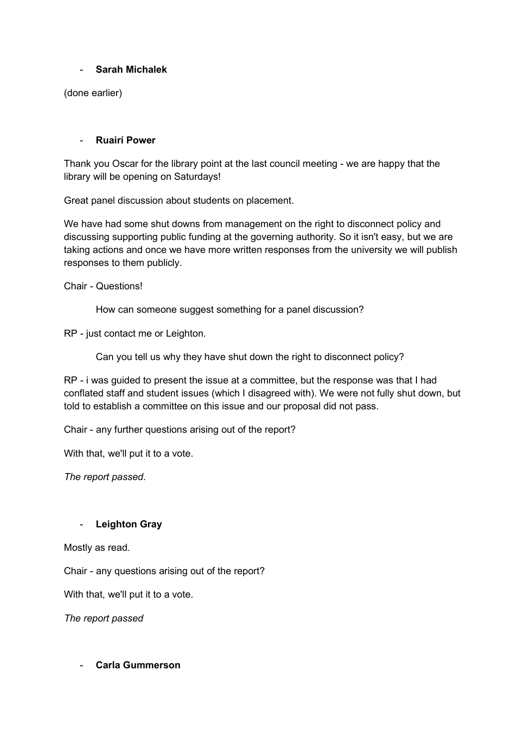### - **Sarah Michalek**

(done earlier)

### - **Ruairí Power**

Thank you Oscar for the library point at the last council meeting - we are happy that the library will be opening on Saturdays!

Great panel discussion about students on placement.

We have had some shut downs from management on the right to disconnect policy and discussing supporting public funding at the governing authority. So it isn't easy, but we are taking actions and once we have more written responses from the university we will publish responses to them publicly.

Chair - Questions!

How can someone suggest something for a panel discussion?

RP - just contact me or Leighton.

Can you tell us why they have shut down the right to disconnect policy?

RP - i was guided to present the issue at a committee, but the response was that I had conflated staff and student issues (which I disagreed with). We were not fully shut down, but told to establish a committee on this issue and our proposal did not pass.

Chair - any further questions arising out of the report?

With that, we'll put it to a vote.

*The report passed*.

## - **Leighton Gray**

Mostly as read.

Chair - any questions arising out of the report?

With that, we'll put it to a vote.

*The report passed*

- **Carla Gummerson**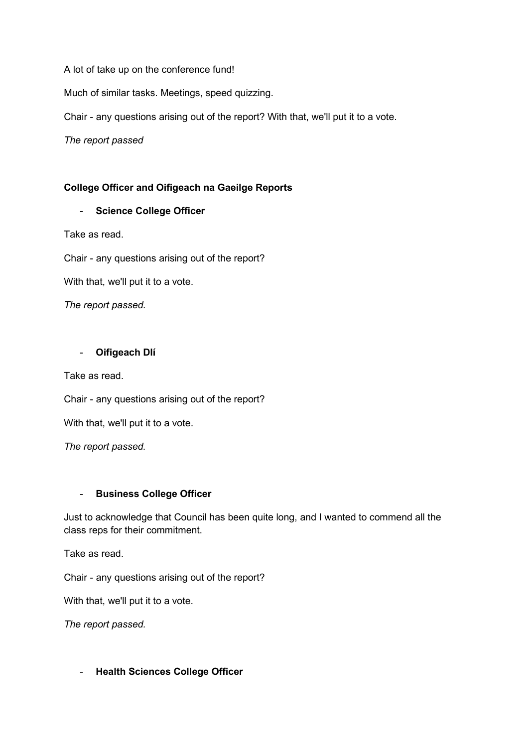A lot of take up on the conference fund!

Much of similar tasks. Meetings, speed quizzing.

Chair - any questions arising out of the report? With that, we'll put it to a vote.

*The report passed*

## **College Officer and Oifigeach na Gaeilge Reports**

### - **Science College Officer**

Take as read.

Chair - any questions arising out of the report?

With that, we'll put it to a vote.

*The report passed.*

### - **Oifigeach Dlí**

Take as read.

Chair - any questions arising out of the report?

With that, we'll put it to a vote.

*The report passed.*

### - **Business College Officer**

Just to acknowledge that Council has been quite long, and I wanted to commend all the class reps for their commitment.

Take as read.

Chair - any questions arising out of the report?

With that, we'll put it to a vote.

*The report passed.*

- **Health Sciences College Officer**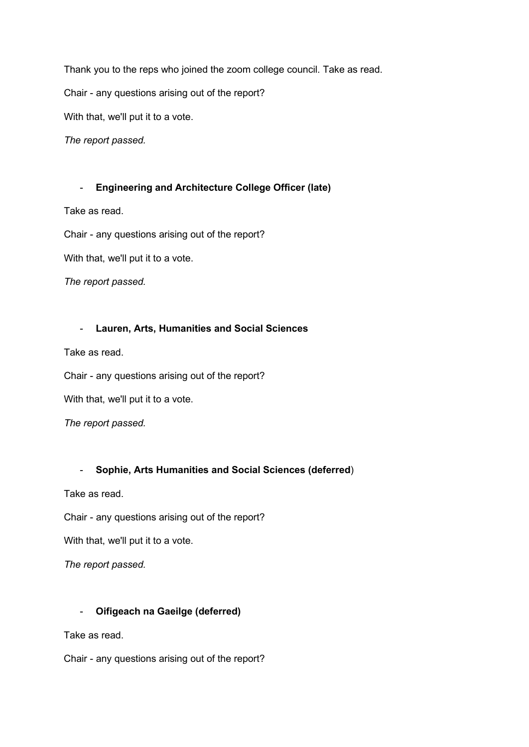Thank you to the reps who joined the zoom college council. Take as read.

Chair - any questions arising out of the report?

With that, we'll put it to a vote.

*The report passed.*

#### - **Engineering and Architecture College Officer (late)**

Take as read.

Chair - any questions arising out of the report?

With that, we'll put it to a vote.

*The report passed.*

### - **Lauren, Arts, Humanities and Social Sciences**

Take as read.

Chair - any questions arising out of the report?

With that, we'll put it to a vote.

*The report passed.*

### - **Sophie, Arts Humanities and Social Sciences (deferred**)

Take as read.

Chair - any questions arising out of the report?

With that, we'll put it to a vote.

*The report passed.*

### - **Oifigeach na Gaeilge (deferred)**

Take as read.

Chair - any questions arising out of the report?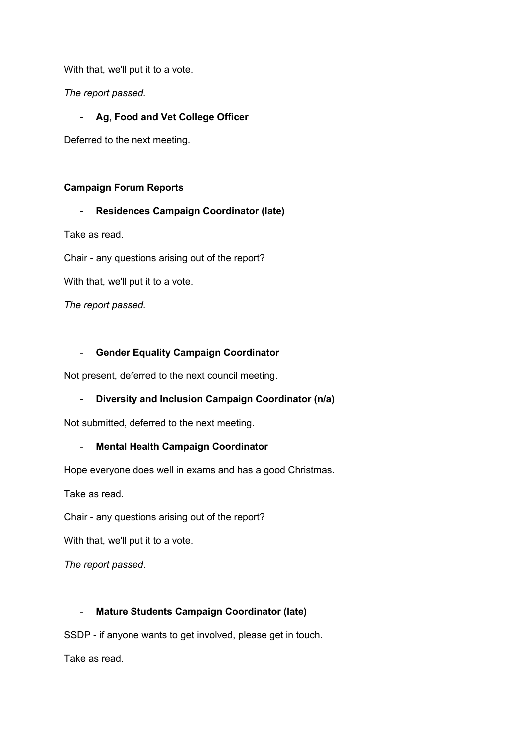With that, we'll put it to a vote.

*The report passed.*

# - **Ag, Food and Vet College Officer**

Deferred to the next meeting.

### **Campaign Forum Reports**

## - **Residences Campaign Coordinator (late)**

Take as read.

Chair - any questions arising out of the report?

With that, we'll put it to a vote.

*The report passed.*

## - **Gender Equality Campaign Coordinator**

Not present, deferred to the next council meeting.

## - **Diversity and Inclusion Campaign Coordinator (n/a)**

Not submitted, deferred to the next meeting.

## - **Mental Health Campaign Coordinator**

Hope everyone does well in exams and has a good Christmas.

Take as read.

Chair - any questions arising out of the report?

With that, we'll put it to a vote.

*The report passed*.

## - **Mature Students Campaign Coordinator (late)**

SSDP - if anyone wants to get involved, please get in touch.

Take as read.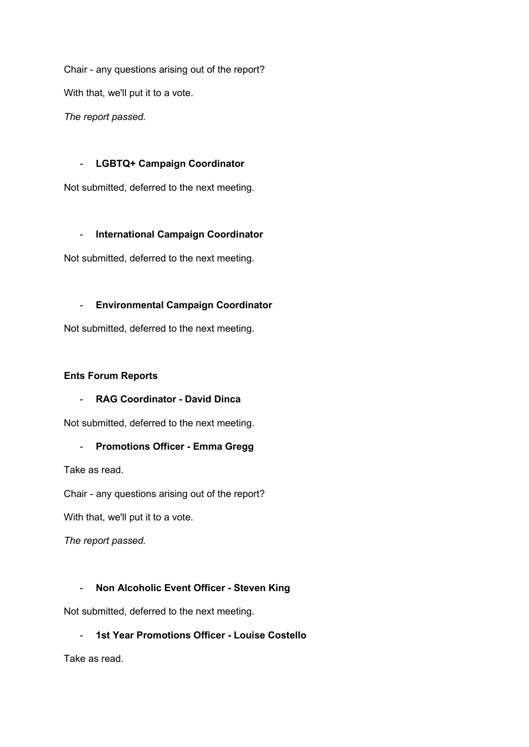Chair - any questions arising out of the report? With that, we'll put it to a vote.

*The report passed.*

# - **LGBTQ+ Campaign Coordinator**

Not submitted, deferred to the next meeting.

# - **International Campaign Coordinator**

Not submitted, deferred to the next meeting.

# - **Environmental Campaign Coordinator**

Not submitted, deferred to the next meeting.

## **Ents Forum Reports**

## - **RAG Coordinator - David Dinca**

Not submitted, deferred to the next meeting.

## - **Promotions Officer - Emma Gregg**

Take as read.

Chair - any questions arising out of the report?

With that, we'll put it to a vote.

*The report passed.*

# - **Non Alcoholic Event Officer - Steven King**

Not submitted, deferred to the next meeting.

## - **1st Year Promotions Officer - Louise Costello**

Take as read.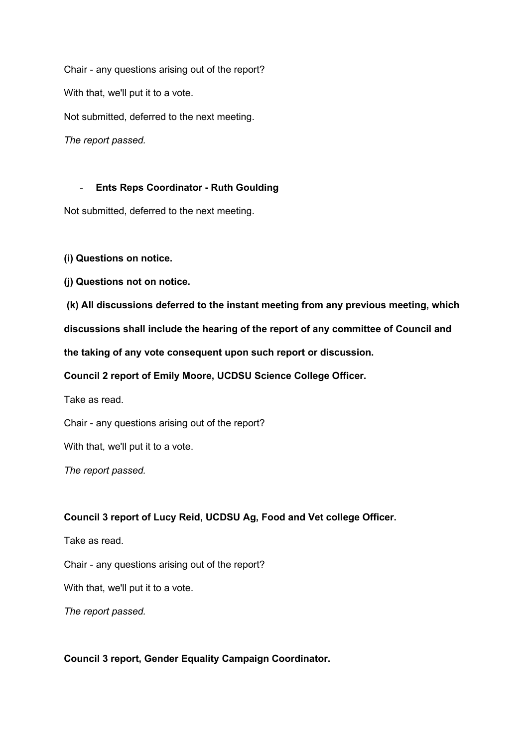Chair - any questions arising out of the report? With that, we'll put it to a vote. Not submitted, deferred to the next meeting. *The report passed.*

### - **Ents Reps Coordinator - Ruth Goulding**

Not submitted, deferred to the next meeting.

**(i) Questions on notice.**

**(j) Questions not on notice.**

**(k) All discussions deferred to the instant meeting from any previous meeting, which**

**discussions shall include the hearing of the report of any committee of Council and**

**the taking of any vote consequent upon such report or discussion.**

**Council 2 report of Emily Moore, UCDSU Science College Officer.** 

Take as read.

Chair - any questions arising out of the report?

With that, we'll put it to a vote.

*The report passed.*

### **Council 3 report of Lucy Reid, UCDSU Ag, Food and Vet college Officer.**

Take as read.

Chair - any questions arising out of the report?

With that, we'll put it to a vote.

*The report passed.*

### **Council 3 report, Gender Equality Campaign Coordinator.**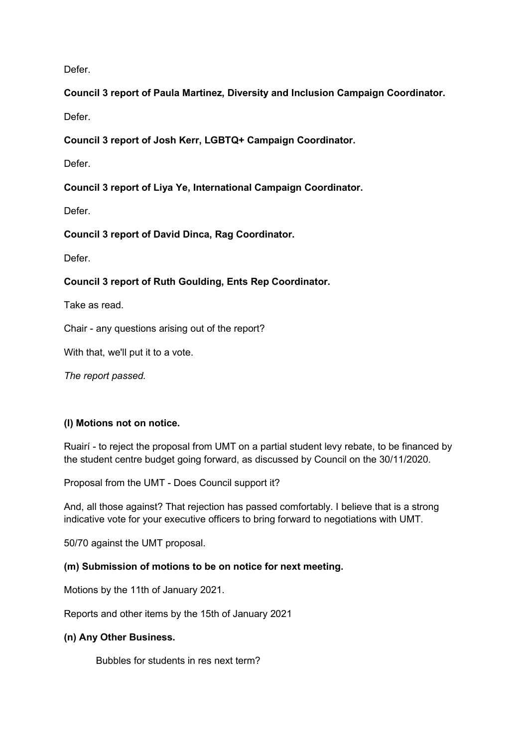Defer.

**Council 3 report of Paula Martinez, Diversity and Inclusion Campaign Coordinator.**

Defer.

**Council 3 report of Josh Kerr, LGBTQ+ Campaign Coordinator.**

Defer.

**Council 3 report of Liya Ye, International Campaign Coordinator.**

Defer.

**Council 3 report of David Dinca, Rag Coordinator.**

Defer.

# **Council 3 report of Ruth Goulding, Ents Rep Coordinator.**

Take as read.

Chair - any questions arising out of the report?

With that, we'll put it to a vote.

*The report passed.*

## **(l) Motions not on notice.**

Ruairí - to reject the proposal from UMT on a partial student levy rebate, to be financed by the student centre budget going forward, as discussed by Council on the 30/11/2020.

Proposal from the UMT - Does Council support it?

And, all those against? That rejection has passed comfortably. I believe that is a strong indicative vote for your executive officers to bring forward to negotiations with UMT.

50/70 against the UMT proposal.

### **(m) Submission of motions to be on notice for next meeting.**

Motions by the 11th of January 2021.

Reports and other items by the 15th of January 2021

### **(n) Any Other Business.**

Bubbles for students in res next term?